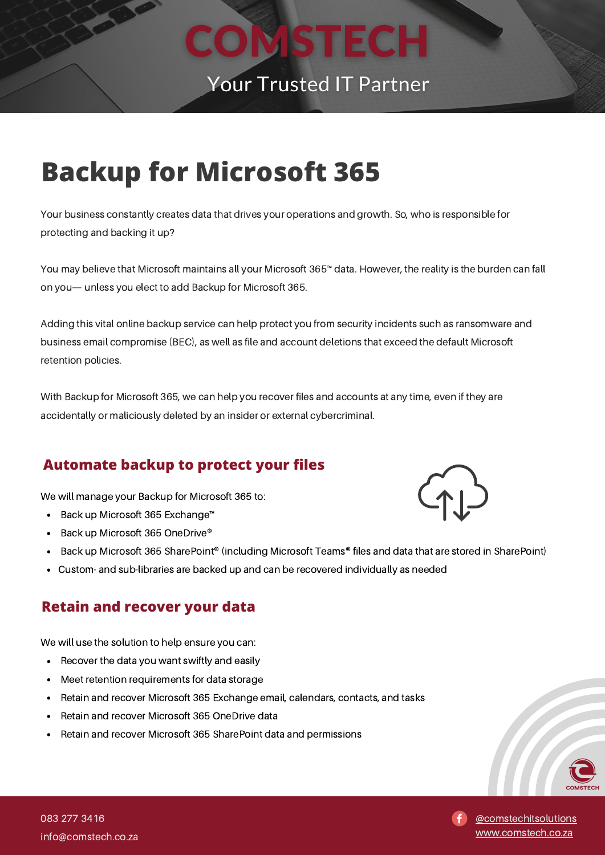

# **Backup for Microsoft 365**

Your business constantly creates data that drives your operations and growth. So, who is responsible for protecting and backing it up?

You may believe that Microsoft maintains all your Microsoft 365™ data. However, the reality is the burden can fall on you— unless you elect to add Backup for Microsoft 365.

Adding this vital online backup service can help protect you from security incidents such as ransomware and business email compromise (BEC), as well as file and account deletions that exceed the default Microsoft retention policies.

With Backup for Microsoft 365, we can help you recover files and accounts at any time, even if they are accidentally or maliciously deleted by an insider or external cybercriminal.

### **Automate backup to protect your files**

We will manage your Backup for Microsoft 365 to:

- Back up Microsoft 365 Exchange™
- Back up Microsoft 365 OneDrive®  $\bullet$
- Back up Microsoft 365 SharePoint® (including Microsoft Teams® files and data that are stored in SharePoint)
- Custom- and sub-libraries are backed up and can be recovered individually as needed

#### **Retain and recover your data**

We will use the solution to help ensure you can:

- Recover the data you want swiftly and easily
- Meet retention requirements for data storage  $\bullet$
- Retain and recover Microsoft 365 Exchange email, calendars, contacts, and tasks
- Retain and recover Microsoft 365 OneDrive data
- Retain and recover Microsoft 365 SharePoint data and permissions